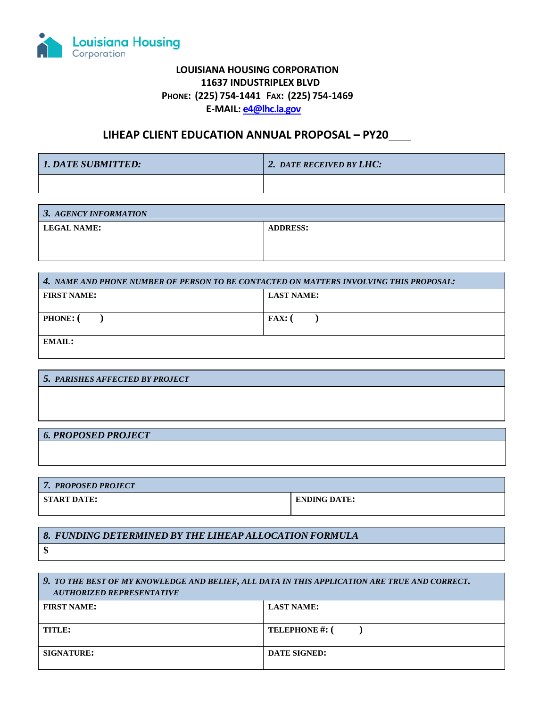

## **LOUISIANA HOUSING CORPORATION 11637 INDUSTRIPLEX BLVD PHONE: (225) 754-1441 FAX: (225) 754-1469 E-MAIL: [e4@lhc.la.gov](mailto:e4@lhc.la.gov)**

## **LIHEAP CLIENT EDUCATION ANNUAL PROPOSAL – PY20**

| 1. DATE SUBMITTED: | 2. DATE RECEIVED BY LHC: |
|--------------------|--------------------------|
|                    |                          |

| 3. AGENCY INFORMATION |                 |  |
|-----------------------|-----------------|--|
| <b>LEGAL NAME:</b>    | <b>ADDRESS:</b> |  |
|                       |                 |  |

| 4. NAME AND PHONE NUMBER OF PERSON TO BE CONTACTED ON MATTERS INVOLVING THIS PROPOSAL: |                   |  |
|----------------------------------------------------------------------------------------|-------------------|--|
| <b>FIRST NAME:</b>                                                                     | <b>LAST NAME:</b> |  |
|                                                                                        |                   |  |
| <b>PHONE:</b> (                                                                        | $FAX:$ (          |  |
|                                                                                        |                   |  |
| EMAIL:                                                                                 |                   |  |
|                                                                                        |                   |  |

*6. PROPOSED PROJECT*

| <b>7. PROPOSED PROJECT</b> |                     |  |
|----------------------------|---------------------|--|
| START DATE:                | <b>ENDING DATE:</b> |  |

## *8. FUNDING DETERMINED BY THE LIHEAP ALLOCATION FORMULA*

**\$**

## *9. TO THE BEST OF MY KNOWLEDGE AND BELIEF, ALL DATA IN THIS APPLICATION ARE TRUE AND CORRECT. AUTHORIZED REPRESENTATIVE*

| <b>FIRST NAME:</b> | <b>LAST NAME:</b>     |
|--------------------|-----------------------|
| TITLE:             | <b>TELEPHONE #: (</b> |
| <b>SIGNATURE:</b>  | <b>DATE SIGNED:</b>   |